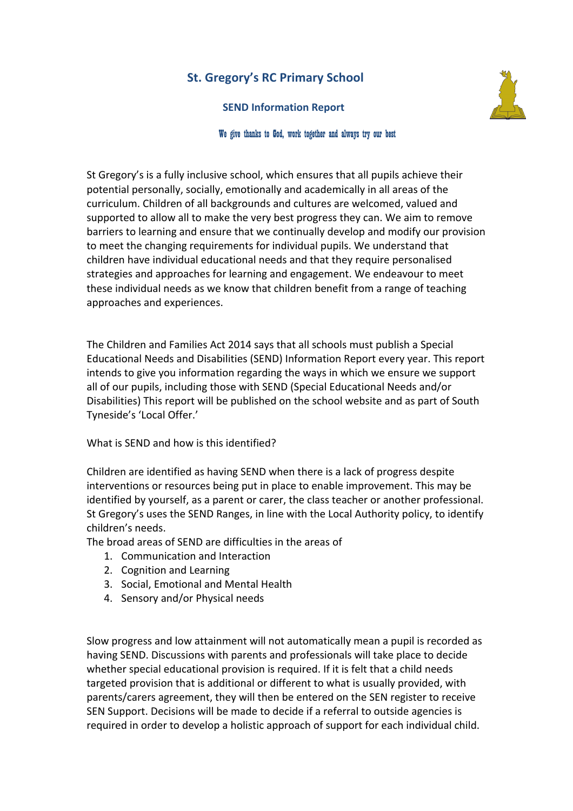# **St. Gregory's RC Primary School**

**SEND Information Report** 



#### We give thanks to God, work together and always try our best

St Gregory's is a fully inclusive school, which ensures that all pupils achieve their potential personally, socially, emotionally and academically in all areas of the curriculum. Children of all backgrounds and cultures are welcomed, valued and supported to allow all to make the very best progress they can. We aim to remove barriers to learning and ensure that we continually develop and modify our provision to meet the changing requirements for individual pupils. We understand that children have individual educational needs and that they require personalised strategies and approaches for learning and engagement. We endeavour to meet these individual needs as we know that children benefit from a range of teaching approaches and experiences.

The Children and Families Act 2014 says that all schools must publish a Special Educational Needs and Disabilities (SEND) Information Report every year. This report intends to give you information regarding the ways in which we ensure we support all of our pupils, including those with SEND (Special Educational Needs and/or Disabilities) This report will be published on the school website and as part of South Tyneside's 'Local Offer.'

What is SEND and how is this identified?

Children are identified as having SEND when there is a lack of progress despite interventions or resources being put in place to enable improvement. This may be identified by yourself, as a parent or carer, the class teacher or another professional. St Gregory's uses the SEND Ranges, in line with the Local Authority policy, to identify children's needs.

The broad areas of SEND are difficulties in the areas of

- 1. Communication and Interaction
- 2. Cognition and Learning
- 3. Social, Emotional and Mental Health
- 4. Sensory and/or Physical needs

Slow progress and low attainment will not automatically mean a pupil is recorded as having SEND. Discussions with parents and professionals will take place to decide whether special educational provision is required. If it is felt that a child needs targeted provision that is additional or different to what is usually provided, with parents/carers agreement, they will then be entered on the SEN register to receive SEN Support. Decisions will be made to decide if a referral to outside agencies is required in order to develop a holistic approach of support for each individual child.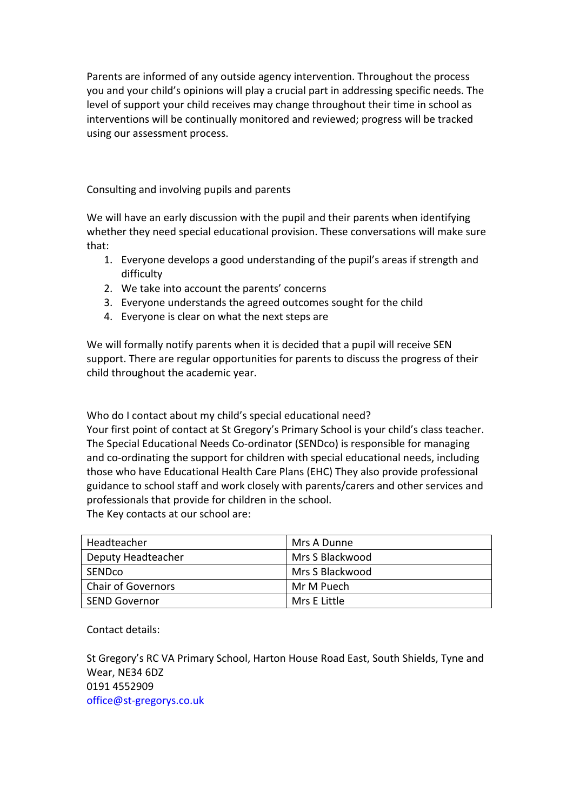Parents are informed of any outside agency intervention. Throughout the process you and your child's opinions will play a crucial part in addressing specific needs. The level of support your child receives may change throughout their time in school as interventions will be continually monitored and reviewed; progress will be tracked using our assessment process.

Consulting and involving pupils and parents

We will have an early discussion with the pupil and their parents when identifying whether they need special educational provision. These conversations will make sure that:

- 1. Everyone develops a good understanding of the pupil's areas if strength and difficulty
- 2. We take into account the parents' concerns
- 3. Everyone understands the agreed outcomes sought for the child
- 4. Everyone is clear on what the next steps are

We will formally notify parents when it is decided that a pupil will receive SEN support. There are regular opportunities for parents to discuss the progress of their child throughout the academic year.

Who do I contact about my child's special educational need? Your first point of contact at St Gregory's Primary School is your child's class teacher. The Special Educational Needs Co-ordinator (SENDco) is responsible for managing and co-ordinating the support for children with special educational needs, including those who have Educational Health Care Plans (EHC) They also provide professional guidance to school staff and work closely with parents/carers and other services and professionals that provide for children in the school. The Key contacts at our school are:

| Headteacher               | Mrs A Dunne     |
|---------------------------|-----------------|
| Deputy Headteacher        | Mrs S Blackwood |
| <b>SENDCO</b>             | Mrs S Blackwood |
| <b>Chair of Governors</b> | Mr M Puech      |
| <b>SEND Governor</b>      | Mrs E Little    |

Contact details:

St Gregory's RC VA Primary School, Harton House Road East, South Shields, Tyne and Wear, NE34 6DZ 0191 4552909 office@st-gregorys.co.uk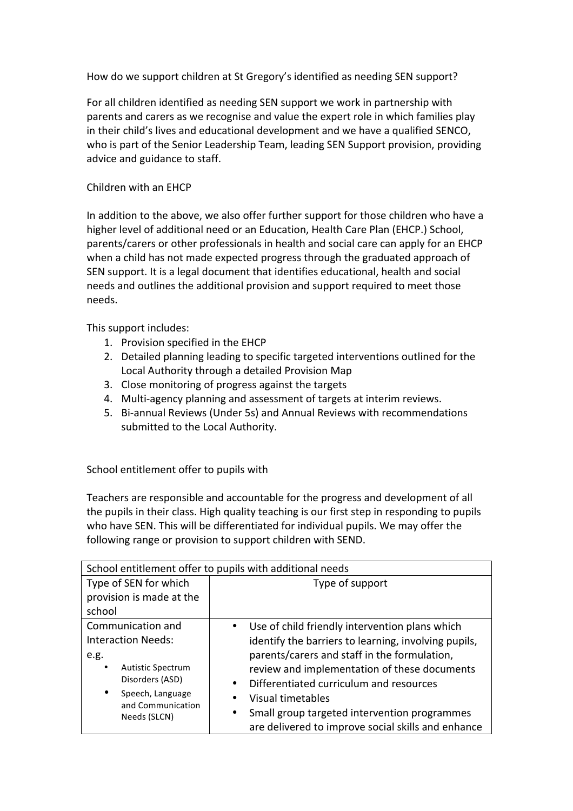How do we support children at St Gregory's identified as needing SEN support?

For all children identified as needing SEN support we work in partnership with parents and carers as we recognise and value the expert role in which families play in their child's lives and educational development and we have a qualified SENCO, who is part of the Senior Leadership Team, leading SEN Support provision, providing advice and guidance to staff.

## Children with an FHCP

In addition to the above, we also offer further support for those children who have a higher level of additional need or an Education, Health Care Plan (EHCP.) School, parents/carers or other professionals in health and social care can apply for an EHCP when a child has not made expected progress through the graduated approach of SEN support. It is a legal document that identifies educational, health and social needs and outlines the additional provision and support required to meet those needs. 

This support includes:

- 1. Provision specified in the EHCP
- 2. Detailed planning leading to specific targeted interventions outlined for the Local Authority through a detailed Provision Map
- 3. Close monitoring of progress against the targets
- 4. Multi-agency planning and assessment of targets at interim reviews.
- 5. Bi-annual Reviews (Under 5s) and Annual Reviews with recommendations submitted to the Local Authority.

School entitlement offer to pupils with

Teachers are responsible and accountable for the progress and development of all the pupils in their class. High quality teaching is our first step in responding to pupils who have SEN. This will be differentiated for individual pupils. We may offer the following range or provision to support children with SEND.

| School entitlement offer to pupils with additional needs |                                                                                                                 |
|----------------------------------------------------------|-----------------------------------------------------------------------------------------------------------------|
| Type of SEN for which                                    | Type of support                                                                                                 |
| provision is made at the                                 |                                                                                                                 |
| school                                                   |                                                                                                                 |
| Communication and                                        | Use of child friendly intervention plans which                                                                  |
| <b>Interaction Needs:</b>                                | identify the barriers to learning, involving pupils,                                                            |
| e.g.                                                     | parents/carers and staff in the formulation,                                                                    |
| <b>Autistic Spectrum</b><br>٠                            | review and implementation of these documents                                                                    |
| Disorders (ASD)                                          | Differentiated curriculum and resources<br>$\bullet$                                                            |
| Speech, Language<br>$\bullet$                            | Visual timetables<br>٠                                                                                          |
| and Communication<br>Needs (SLCN)                        | Small group targeted intervention programmes<br>$\bullet$<br>are delivered to improve social skills and enhance |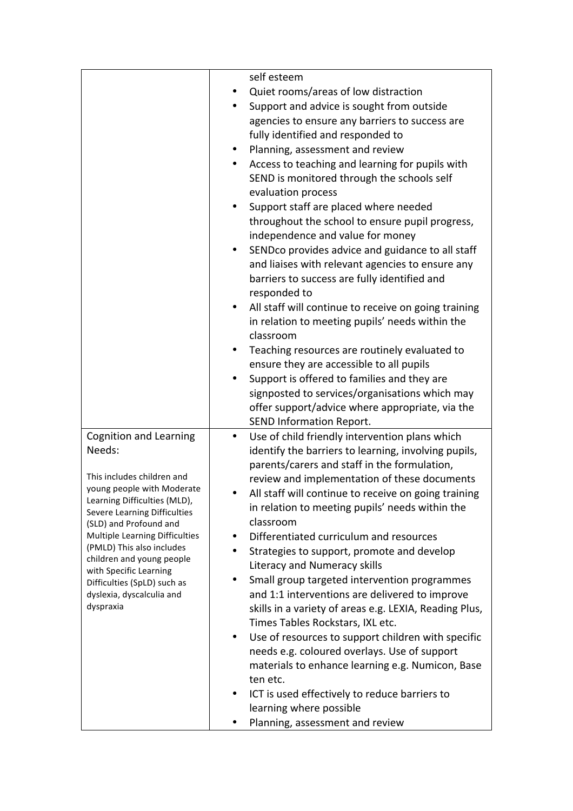|                                                          | self esteem                                                                                          |
|----------------------------------------------------------|------------------------------------------------------------------------------------------------------|
|                                                          | Quiet rooms/areas of low distraction                                                                 |
|                                                          | Support and advice is sought from outside                                                            |
|                                                          | agencies to ensure any barriers to success are                                                       |
|                                                          | fully identified and responded to                                                                    |
|                                                          | Planning, assessment and review<br>٠                                                                 |
|                                                          | Access to teaching and learning for pupils with<br>٠                                                 |
|                                                          | SEND is monitored through the schools self                                                           |
|                                                          | evaluation process                                                                                   |
|                                                          | Support staff are placed where needed<br>٠                                                           |
|                                                          | throughout the school to ensure pupil progress,                                                      |
|                                                          | independence and value for money                                                                     |
|                                                          | SENDco provides advice and guidance to all staff<br>٠                                                |
|                                                          | and liaises with relevant agencies to ensure any                                                     |
|                                                          | barriers to success are fully identified and                                                         |
|                                                          | responded to                                                                                         |
|                                                          | All staff will continue to receive on going training                                                 |
|                                                          | in relation to meeting pupils' needs within the                                                      |
|                                                          | classroom                                                                                            |
|                                                          | Teaching resources are routinely evaluated to                                                        |
|                                                          | ensure they are accessible to all pupils                                                             |
|                                                          | Support is offered to families and they are<br>$\bullet$                                             |
|                                                          | signposted to services/organisations which may                                                       |
|                                                          | offer support/advice where appropriate, via the                                                      |
|                                                          | <b>SEND Information Report.</b>                                                                      |
| <b>Cognition and Learning</b>                            | Use of child friendly intervention plans which<br>$\bullet$                                          |
| Needs:                                                   | identify the barriers to learning, involving pupils,                                                 |
| This includes children and                               | parents/carers and staff in the formulation,                                                         |
| young people with Moderate                               | review and implementation of these documents<br>All staff will continue to receive on going training |
| Learning Difficulties (MLD),                             | in relation to meeting pupils' needs within the                                                      |
| Severe Learning Difficulties                             | classroom                                                                                            |
| (SLD) and Profound and<br>Multiple Learning Difficulties | Differentiated curriculum and resources<br>٠                                                         |
| (PMLD) This also includes                                | Strategies to support, promote and develop<br>٠                                                      |
| children and young people                                | Literacy and Numeracy skills                                                                         |
| with Specific Learning                                   | Small group targeted intervention programmes                                                         |
| Difficulties (SpLD) such as<br>dyslexia, dyscalculia and | and 1:1 interventions are delivered to improve                                                       |
| dyspraxia                                                | skills in a variety of areas e.g. LEXIA, Reading Plus,                                               |
|                                                          | Times Tables Rockstars, IXL etc.                                                                     |
|                                                          | Use of resources to support children with specific<br>٠                                              |
|                                                          | needs e.g. coloured overlays. Use of support                                                         |
|                                                          | materials to enhance learning e.g. Numicon, Base                                                     |
|                                                          | ten etc.                                                                                             |
|                                                          | ICT is used effectively to reduce barriers to                                                        |
|                                                          |                                                                                                      |
|                                                          | learning where possible                                                                              |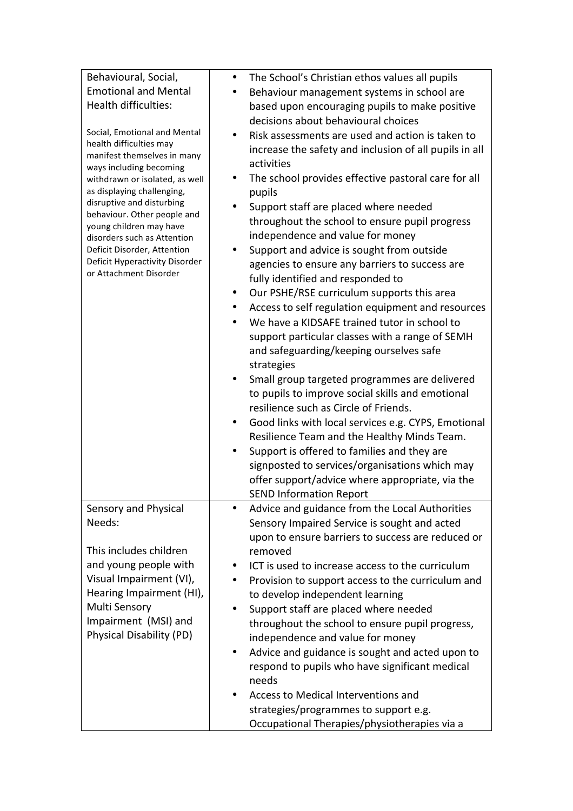| Behavioural, Social,                                   | The School's Christian ethos values all pupils<br>$\bullet$    |
|--------------------------------------------------------|----------------------------------------------------------------|
| <b>Emotional and Mental</b>                            | Behaviour management systems in school are                     |
| Health difficulties:                                   | based upon encouraging pupils to make positive                 |
|                                                        | decisions about behavioural choices                            |
| Social, Emotional and Mental                           | Risk assessments are used and action is taken to               |
| health difficulties may                                | increase the safety and inclusion of all pupils in all         |
| manifest themselves in many<br>ways including becoming | activities                                                     |
| withdrawn or isolated, as well                         | The school provides effective pastoral care for all<br>٠       |
| as displaying challenging,                             | pupils                                                         |
| disruptive and disturbing                              | Support staff are placed where needed                          |
| behaviour. Other people and<br>young children may have | throughout the school to ensure pupil progress                 |
| disorders such as Attention                            | independence and value for money                               |
| Deficit Disorder, Attention                            | Support and advice is sought from outside<br>٠                 |
| Deficit Hyperactivity Disorder                         | agencies to ensure any barriers to success are                 |
| or Attachment Disorder                                 | fully identified and responded to                              |
|                                                        | Our PSHE/RSE curriculum supports this area<br>$\bullet$        |
|                                                        | Access to self regulation equipment and resources<br>$\bullet$ |
|                                                        | We have a KIDSAFE trained tutor in school to<br>$\bullet$      |
|                                                        | support particular classes with a range of SEMH                |
|                                                        | and safeguarding/keeping ourselves safe                        |
|                                                        | strategies                                                     |
|                                                        | Small group targeted programmes are delivered<br>$\bullet$     |
|                                                        | to pupils to improve social skills and emotional               |
|                                                        | resilience such as Circle of Friends.                          |
|                                                        | Good links with local services e.g. CYPS, Emotional            |
|                                                        | Resilience Team and the Healthy Minds Team.                    |
|                                                        | Support is offered to families and they are                    |
|                                                        | signposted to services/organisations which may                 |
|                                                        | offer support/advice where appropriate, via the                |
|                                                        | <b>SEND Information Report</b>                                 |
| Sensory and Physical                                   | Advice and guidance from the Local Authorities                 |
| Needs:                                                 | Sensory Impaired Service is sought and acted                   |
|                                                        | upon to ensure barriers to success are reduced or              |
| This includes children                                 | removed                                                        |
| and young people with                                  | ICT is used to increase access to the curriculum               |
| Visual Impairment (VI),                                | Provision to support access to the curriculum and              |
| Hearing Impairment (HI),                               | to develop independent learning                                |
| Multi Sensory                                          | Support staff are placed where needed                          |
| Impairment (MSI) and                                   | throughout the school to ensure pupil progress,                |
| Physical Disability (PD)                               | independence and value for money                               |
|                                                        | Advice and guidance is sought and acted upon to<br>٠           |
|                                                        | respond to pupils who have significant medical                 |
|                                                        | needs                                                          |
|                                                        | Access to Medical Interventions and                            |
|                                                        | strategies/programmes to support e.g.                          |
|                                                        | Occupational Therapies/physiotherapies via a                   |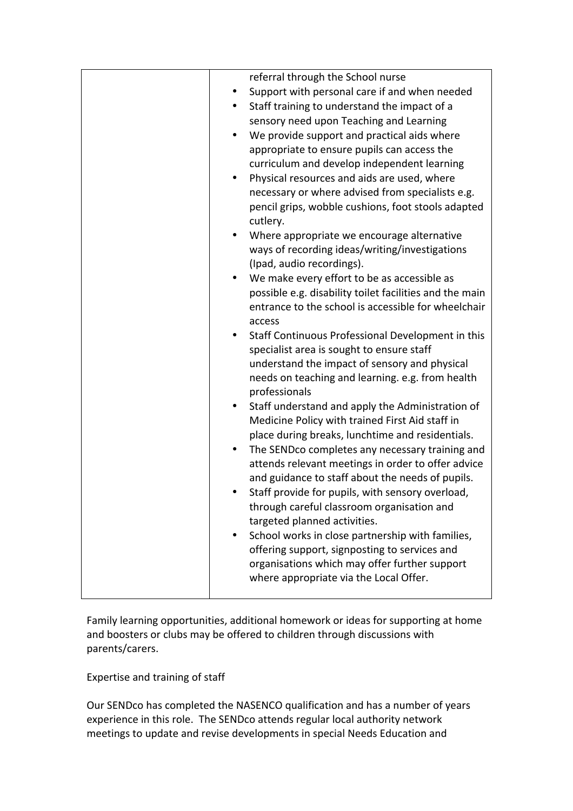| referral through the School nurse                                                                   |
|-----------------------------------------------------------------------------------------------------|
| Support with personal care if and when needed                                                       |
| Staff training to understand the impact of a                                                        |
| sensory need upon Teaching and Learning                                                             |
| We provide support and practical aids where                                                         |
| appropriate to ensure pupils can access the                                                         |
| curriculum and develop independent learning                                                         |
| Physical resources and aids are used, where                                                         |
| necessary or where advised from specialists e.g.                                                    |
| pencil grips, wobble cushions, foot stools adapted                                                  |
| cutlery.                                                                                            |
| Where appropriate we encourage alternative                                                          |
| ways of recording ideas/writing/investigations                                                      |
| (Ipad, audio recordings).                                                                           |
| We make every effort to be as accessible as                                                         |
| possible e.g. disability toilet facilities and the main                                             |
| entrance to the school is accessible for wheelchair                                                 |
| access                                                                                              |
| Staff Continuous Professional Development in this                                                   |
| specialist area is sought to ensure staff                                                           |
| understand the impact of sensory and physical                                                       |
| needs on teaching and learning. e.g. from health                                                    |
| professionals                                                                                       |
| Staff understand and apply the Administration of<br>Medicine Policy with trained First Aid staff in |
| place during breaks, lunchtime and residentials.                                                    |
| The SENDco completes any necessary training and                                                     |
| attends relevant meetings in order to offer advice                                                  |
| and guidance to staff about the needs of pupils.                                                    |
| Staff provide for pupils, with sensory overload,                                                    |
| through careful classroom organisation and                                                          |
| targeted planned activities.                                                                        |
| School works in close partnership with families,                                                    |
| offering support, signposting to services and                                                       |
| organisations which may offer further support                                                       |
| where appropriate via the Local Offer.                                                              |
|                                                                                                     |

Family learning opportunities, additional homework or ideas for supporting at home and boosters or clubs may be offered to children through discussions with parents/carers.

## Expertise and training of staff

Our SENDco has completed the NASENCO qualification and has a number of years experience in this role. The SENDco attends regular local authority network meetings to update and revise developments in special Needs Education and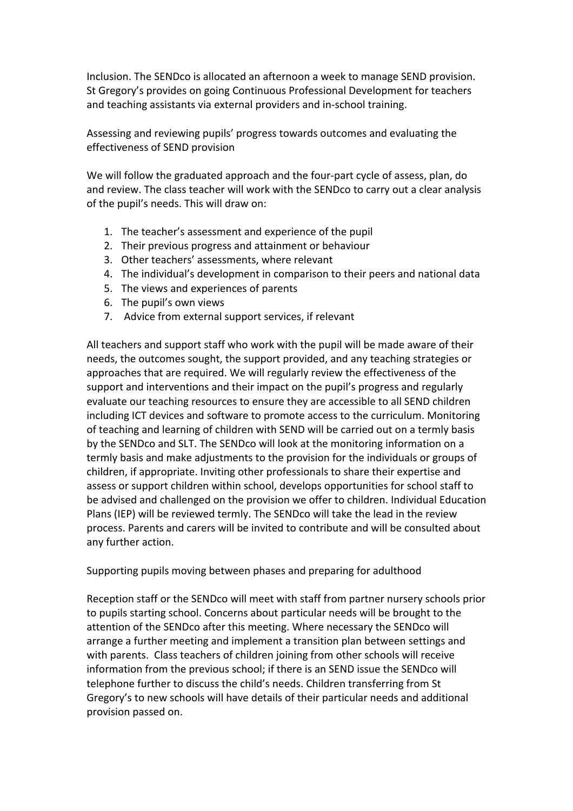Inclusion. The SENDco is allocated an afternoon a week to manage SEND provision. St Gregory's provides on going Continuous Professional Development for teachers and teaching assistants via external providers and in-school training.

Assessing and reviewing pupils' progress towards outcomes and evaluating the effectiveness of SEND provision

We will follow the graduated approach and the four-part cycle of assess, plan, do and review. The class teacher will work with the SENDco to carry out a clear analysis of the pupil's needs. This will draw on:

- 1. The teacher's assessment and experience of the pupil
- 2. Their previous progress and attainment or behaviour
- 3. Other teachers' assessments, where relevant
- 4. The individual's development in comparison to their peers and national data
- 5. The views and experiences of parents
- 6. The pupil's own views
- 7. Advice from external support services, if relevant

All teachers and support staff who work with the pupil will be made aware of their needs, the outcomes sought, the support provided, and any teaching strategies or approaches that are required. We will regularly review the effectiveness of the support and interventions and their impact on the pupil's progress and regularly evaluate our teaching resources to ensure they are accessible to all SEND children including ICT devices and software to promote access to the curriculum. Monitoring of teaching and learning of children with SEND will be carried out on a termly basis by the SENDco and SLT. The SENDco will look at the monitoring information on a termly basis and make adjustments to the provision for the individuals or groups of children, if appropriate. Inviting other professionals to share their expertise and assess or support children within school, develops opportunities for school staff to be advised and challenged on the provision we offer to children. Individual Education Plans (IEP) will be reviewed termly. The SENDco will take the lead in the review process. Parents and carers will be invited to contribute and will be consulted about any further action.

Supporting pupils moving between phases and preparing for adulthood

Reception staff or the SENDco will meet with staff from partner nursery schools prior to pupils starting school. Concerns about particular needs will be brought to the attention of the SENDco after this meeting. Where necessary the SENDco will arrange a further meeting and implement a transition plan between settings and with parents. Class teachers of children joining from other schools will receive information from the previous school; if there is an SEND issue the SENDco will telephone further to discuss the child's needs. Children transferring from St Gregory's to new schools will have details of their particular needs and additional provision passed on.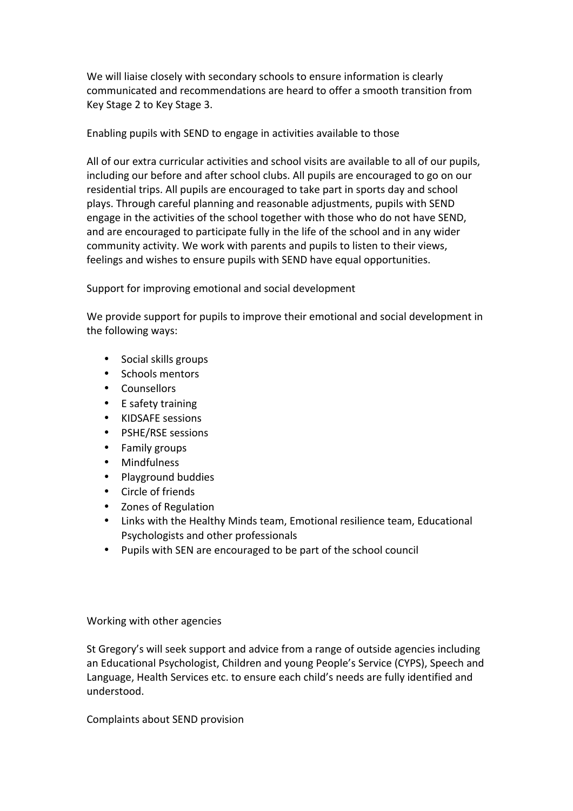We will liaise closely with secondary schools to ensure information is clearly communicated and recommendations are heard to offer a smooth transition from Key Stage 2 to Key Stage 3.

Enabling pupils with SEND to engage in activities available to those

All of our extra curricular activities and school visits are available to all of our pupils, including our before and after school clubs. All pupils are encouraged to go on our residential trips. All pupils are encouraged to take part in sports day and school plays. Through careful planning and reasonable adjustments, pupils with SEND engage in the activities of the school together with those who do not have SEND, and are encouraged to participate fully in the life of the school and in any wider community activity. We work with parents and pupils to listen to their views, feelings and wishes to ensure pupils with SEND have equal opportunities.

Support for improving emotional and social development

We provide support for pupils to improve their emotional and social development in the following ways:

- Social skills groups
- Schools mentors
- Counsellors
- E safety training
- KIDSAFE sessions
- PSHE/RSE sessions
- Family groups
- Mindfulness
- Playground buddies
- Circle of friends
- Zones of Regulation
- Links with the Healthy Minds team, Emotional resilience team, Educational Psychologists and other professionals
- Pupils with SEN are encouraged to be part of the school council

Working with other agencies

St Gregory's will seek support and advice from a range of outside agencies including an Educational Psychologist, Children and young People's Service (CYPS), Speech and Language, Health Services etc. to ensure each child's needs are fully identified and understood. 

Complaints about SEND provision